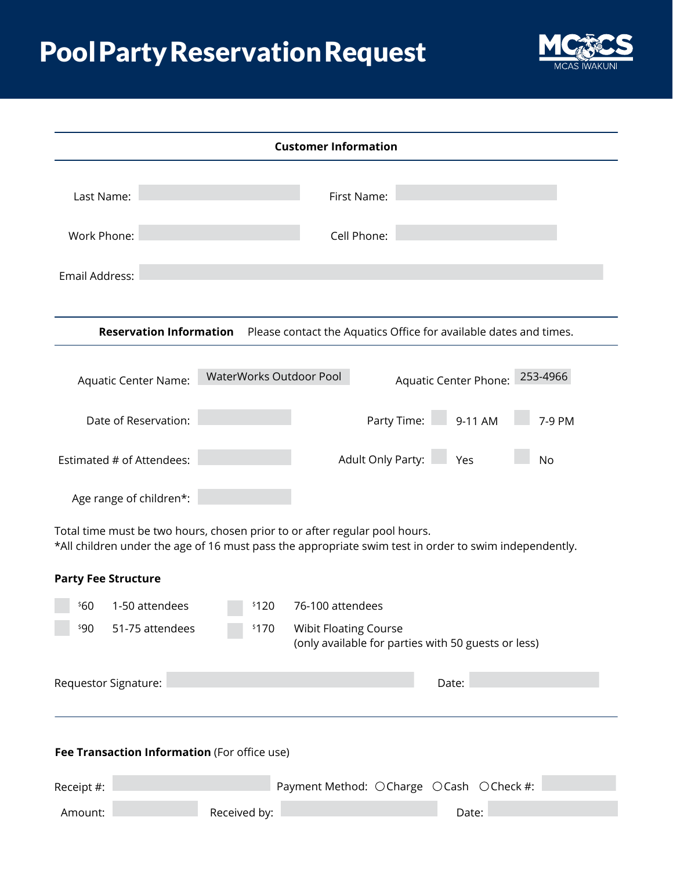## Pool Party Reservation Request



| <b>Customer Information</b>                  |                                |                         |                                                                                                                                                                                     |  |  |  |
|----------------------------------------------|--------------------------------|-------------------------|-------------------------------------------------------------------------------------------------------------------------------------------------------------------------------------|--|--|--|
| Last Name:                                   |                                |                         | First Name:                                                                                                                                                                         |  |  |  |
| Work Phone:                                  |                                |                         | Cell Phone:                                                                                                                                                                         |  |  |  |
| Email Address:                               |                                |                         |                                                                                                                                                                                     |  |  |  |
|                                              | <b>Reservation Information</b> |                         | Please contact the Aquatics Office for available dates and times.                                                                                                                   |  |  |  |
|                                              | <b>Aquatic Center Name:</b>    | WaterWorks Outdoor Pool | 253-4966<br>Aquatic Center Phone:                                                                                                                                                   |  |  |  |
|                                              | Date of Reservation:           |                         | Party Time:<br>9-11 AM<br>7-9 PM                                                                                                                                                    |  |  |  |
|                                              | Estimated # of Attendees:      |                         | Adult Only Party: Yes<br><b>No</b>                                                                                                                                                  |  |  |  |
| Age range of children*:                      |                                |                         |                                                                                                                                                                                     |  |  |  |
|                                              |                                |                         | Total time must be two hours, chosen prior to or after regular pool hours.<br>*All children under the age of 16 must pass the appropriate swim test in order to swim independently. |  |  |  |
| <b>Party Fee Structure</b>                   |                                |                         |                                                                                                                                                                                     |  |  |  |
| \$60                                         | 1-50 attendees                 | \$120                   | 76-100 attendees                                                                                                                                                                    |  |  |  |
| \$90                                         | 51-75 attendees                | \$170                   | Wibit Floating Course<br>(only available for parties with 50 guests or less)                                                                                                        |  |  |  |
| Requestor Signature:                         |                                |                         | Date:                                                                                                                                                                               |  |  |  |
| Fee Transaction Information (For office use) |                                |                         |                                                                                                                                                                                     |  |  |  |
| Receipt #:                                   |                                |                         | Payment Method: OCharge OCash OCheck #:                                                                                                                                             |  |  |  |
| Amount:                                      |                                | Received by:            | Date:                                                                                                                                                                               |  |  |  |